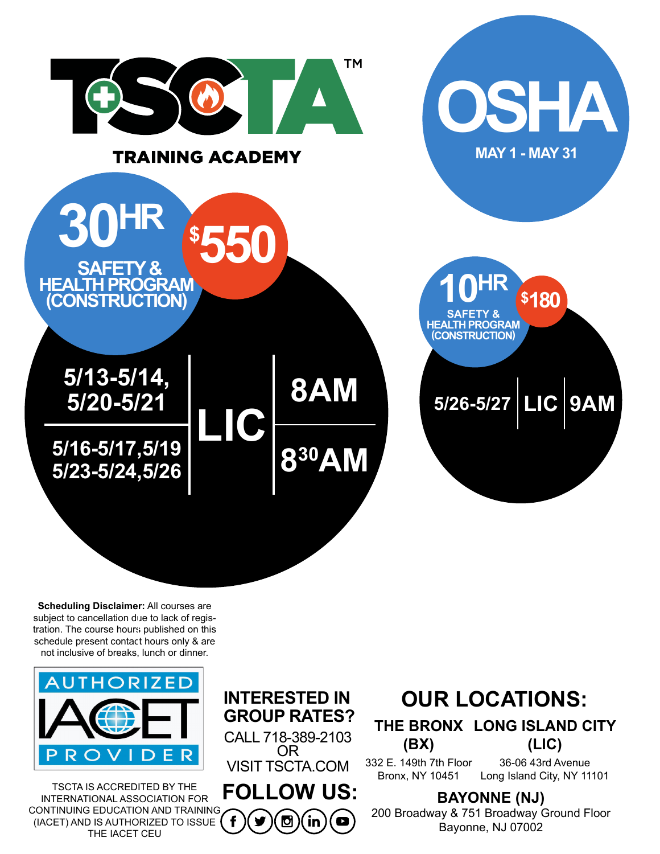



TSCTA IS ACCREDITED BY THE INTERNATIONAL ASSOCIATION FOR CONTINUING EDUCATION AND TRAINING (IACET) AND IS AUTHORIZED TO ISSUE THE IACET CEU

CALL 718-389-2103 OR VISIT TSCTA.COM **INTERESTED IN GROUP RATES?**

**FOLLOW US:** Ю in  $\blacksquare$ 

### **OUR LOCATIONS:**

**THE BRONX LONG ISLAND CITY (BX) (LIC)**

332 E. 149th 7th Floor Bronx, NY 10451 36-06 43rd Avenue Long Island City, NY 11101

**BAYONNE (NJ)**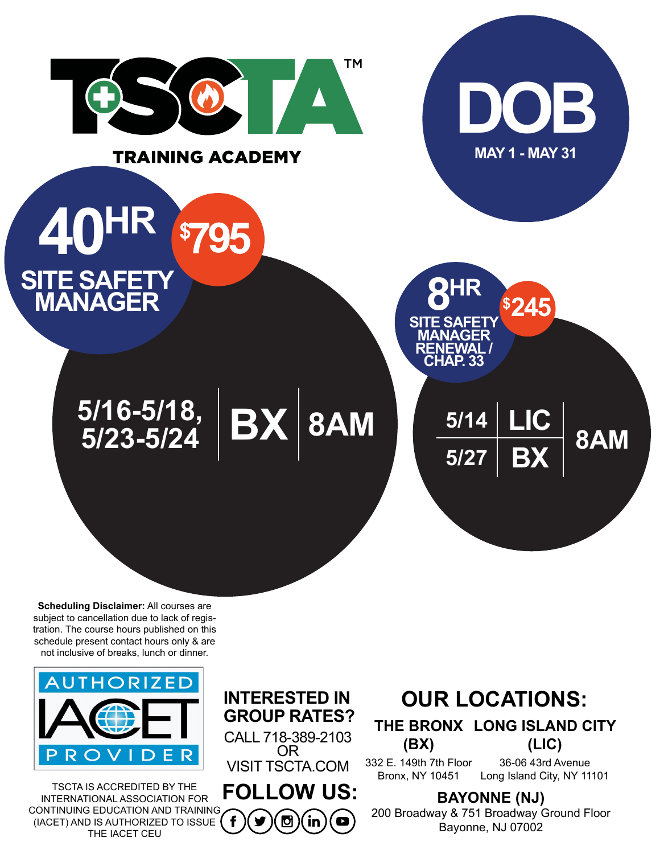



TSCTA IS ACCREDITED BY THE INTERNATIONAL ASSOCIATION FOR CONTINUING EDUCATION AND TRAINING (IACET) AND IS AUTHORIZED TO ISSUE THE IACET CEU

CALL 718-389-2103 OR VISIT TSCTA.COM **INTERESTED IN GROUP RATES?**

**FOLLOW US:** ℧ in  $\bullet$ 

# **OUR LOCATIONS:**

**THE BRONX LONG ISLAND CITY (BX) (LIC)**

332 E. 149th 7th Floor Bronx, NY 10451 36-06 43rd Avenue Long Island City, NY 11101

**BAYONNE (NJ)**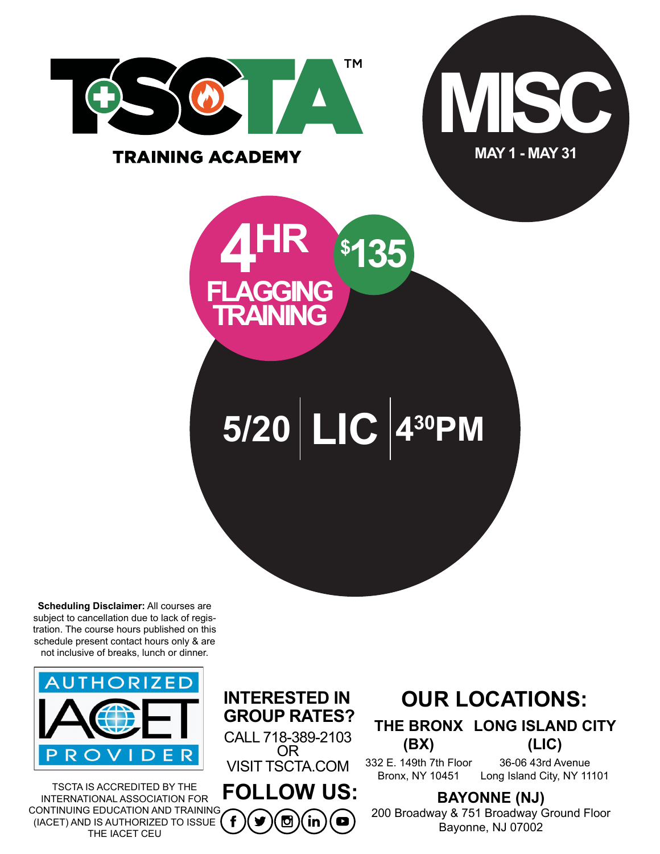

#### **TRAINING ACADEMY**





**5/20 LIC 430PM**

**Scheduling Disclaimer:** All courses are subject to cancellation due to lack of registration. The course hours published on this schedule present contact hours only & are not inclusive of breaks, lunch or dinner.



TSCTA IS ACCREDITED BY THE INTERNATIONAL ASSOCIATION FOR CONTINUING EDUCATION AND TRAINING (IACET) AND IS AUTHORIZED TO ISSUE THE IACET CEU

CALL 718-389-2103 OR VISIT TSCTA.COM **INTERESTED IN GROUP RATES?**

**FOLLOW US:** Ю in  $\blacksquare$ 

# **OUR LOCATIONS:**

**THE BRONX LONG ISLAND CITY (BX) (LIC)**

332 E. 149th 7th Floor Bronx, NY 10451 36-06 43rd Avenue Long Island City, NY 11101

**BAYONNE (NJ)**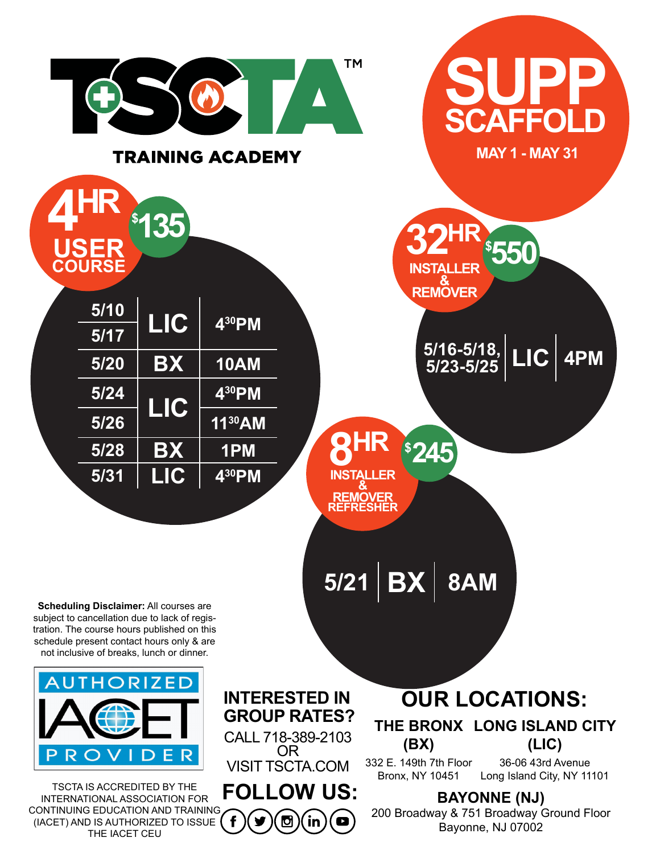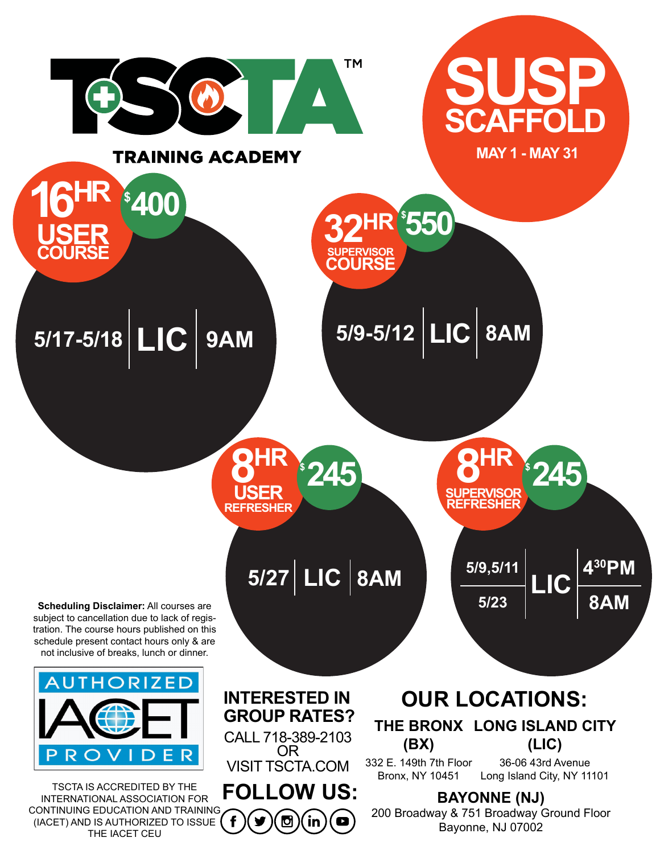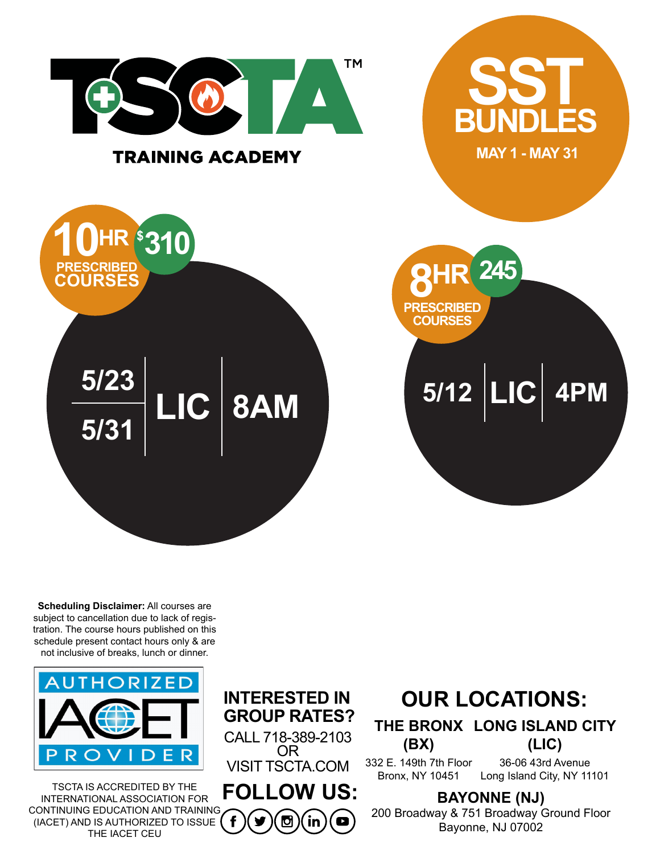



TSCTA IS ACCREDITED BY THE INTERNATIONAL ASSOCIATION FOR CONTINUING EDUCATION AND TRAINING (IACET) AND IS AUTHORIZED TO ISSUE THE IACET CEU

CALL 718-389-2103 OR VISIT TSCTA.COM **INTERESTED IN GROUP RATES?**

**FOLLOW US:** ℧ in  $\blacksquare$ 

# **OUR LOCATIONS:**

**THE BRONX LONG ISLAND CITY (BX) (LIC)**

332 E. 149th 7th Floor Bronx, NY 10451 36-06 43rd Avenue Long Island City, NY 11101

**BAYONNE (NJ)**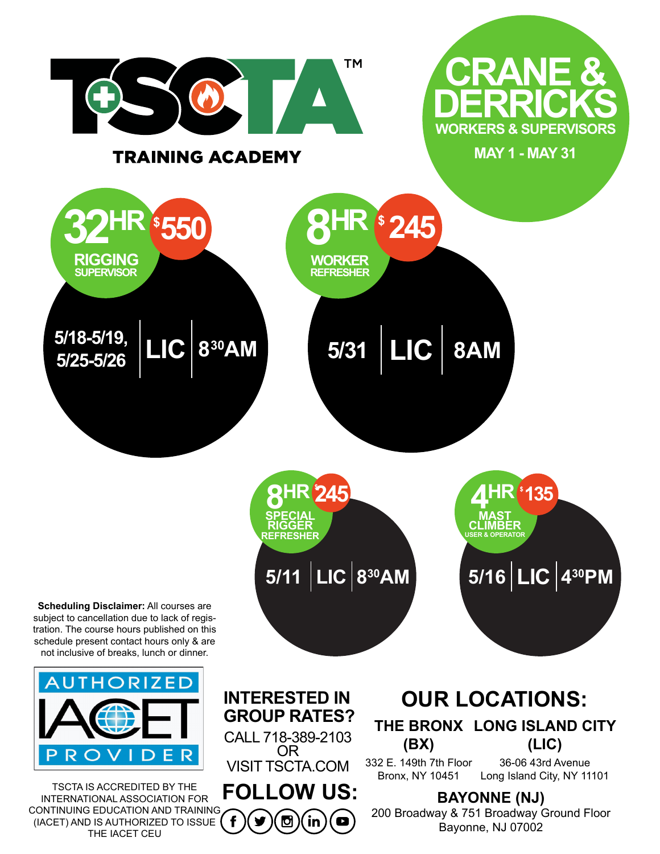

CALL 718-389-2103 OR VISIT TSCTA.COM

**FOLLOW US:** CONTINUING EDUCATION AND TRAINING f Ø in  $\bullet$ (IACET) AND IS AUTHORIZED TO ISSUE

TSCTA IS ACCREDITED BY THE INTERNATIONAL ASSOCIATION FOR

D

R

THE IACET CEU

#### **THE BRONX LONG ISLAND CITY (BX)** 332 E. 149th 7th Floor **(LIC)** 36-06 43rd Avenue

Bronx, NY 10451 Long Island City, NY 11101

**BAYONNE (NJ)**